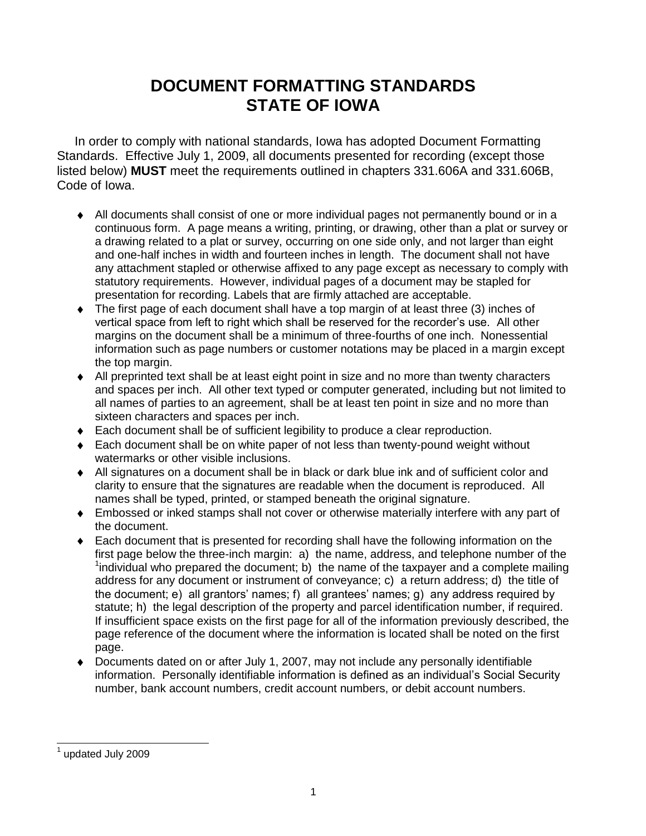## **DOCUMENT FORMATTING STANDARDS STATE OF IOWA**

 In order to comply with national standards, Iowa has adopted Document Formatting Standards. Effective July 1, 2009, all documents presented for recording (except those listed below) **MUST** meet the requirements outlined in chapters 331.606A and 331.606B, Code of Iowa.

- All documents shall consist of one or more individual pages not permanently bound or in a continuous form. A page means a writing, printing, or drawing, other than a plat or survey or a drawing related to a plat or survey, occurring on one side only, and not larger than eight and one-half inches in width and fourteen inches in length. The document shall not have any attachment stapled or otherwise affixed to any page except as necessary to comply with statutory requirements. However, individual pages of a document may be stapled for presentation for recording. Labels that are firmly attached are acceptable.
- The first page of each document shall have a top margin of at least three (3) inches of vertical space from left to right which shall be reserved for the recorder's use. All other margins on the document shall be a minimum of three-fourths of one inch. Nonessential information such as page numbers or customer notations may be placed in a margin except the top margin.
- All preprinted text shall be at least eight point in size and no more than twenty characters and spaces per inch. All other text typed or computer generated, including but not limited to all names of parties to an agreement, shall be at least ten point in size and no more than sixteen characters and spaces per inch.
- ◆ Each document shall be of sufficient legibility to produce a clear reproduction.
- ◆ Each document shall be on white paper of not less than twenty-pound weight without watermarks or other visible inclusions.
- All signatures on a document shall be in black or dark blue ink and of sufficient color and clarity to ensure that the signatures are readable when the document is reproduced. All names shall be typed, printed, or stamped beneath the original signature.
- Embossed or inked stamps shall not cover or otherwise materially interfere with any part of the document.
- Each document that is presented for recording shall have the following information on the first page below the three-inch margin: a) the name, address, and telephone number of the  $1$ individual who prepared the document; b) the name of the taxpayer and a complete mailing address for any document or instrument of conveyance; c) a return address; d) the title of the document; e) all grantors' names; f) all grantees' names; g) any address required by statute; h) the legal description of the property and parcel identification number, if required. If insufficient space exists on the first page for all of the information previously described, the page reference of the document where the information is located shall be noted on the first page.
- Documents dated on or after July 1, 2007, may not include any personally identifiable information. Personally identifiable information is defined as an individual's Social Security number, bank account numbers, credit account numbers, or debit account numbers.

l 1 updated July 2009